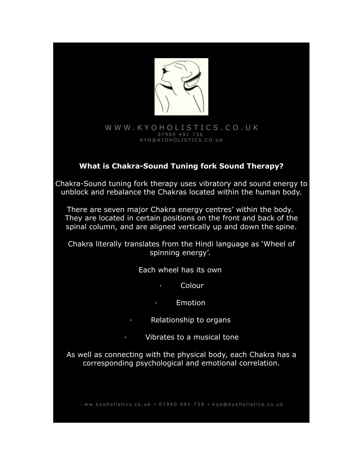

#### [W W W . K Y O H O L I S T I C S . C O . U K](http://www.Kyoholistics.co.uk/) 0 7 9 6 0 4 9 1 7 3 6 K Y O @ K Y O H O L I S T I C S . C O . U K

## **What is Chakra-Sound Tuning fork Sound Therapy?**

Chakra-Sound tuning fork therapy uses vibratory and sound energy to unblock and rebalance the Chakras located within the human body.

There are seven major Chakra energy centres' within the body. They are located in certain positions on the front and back of the spinal column, and are aligned vertically up and down the spine.

Chakra literally translates from the Hindi language as 'Wheel of spinning energy'.

Each wheel has its own

· Colour

· Emotion

Relationship to organs

· Vibrates to a musical tone

As well as connecting with the physical body, each Chakra has a corresponding psychological and emotional correlation.

w w w . k y o h o listics . co . u k • 0 7 9 6 0 4 9 1 7 3 6 • k y o @ k y o h o listics . co . u k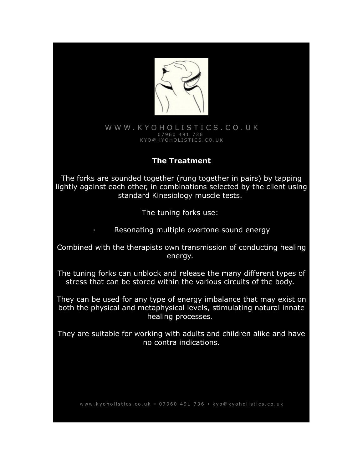

### [W W W . K Y O H O L I S T I C S . C O . U K](http://www.Kyoholistics.co.uk/) 0 7 9 6 0 4 9 1 7 3 6 K Y O @ K Y O H O L I S T I C S . C O . U K

## **The Treatment**

The forks are sounded together (rung together in pairs) by tapping lightly against each other, in combinations selected by the client using standard Kinesiology muscle tests.

The tuning forks use:

· Resonating multiple overtone sound energy

Combined with the therapists own transmission of conducting healing energy.

The tuning forks can unblock and release the many different types of stress that can be stored within the various circuits of the body.

They can be used for any type of energy imbalance that may exist on both the physical and metaphysical levels, stimulating natural innate healing processes.

They are suitable for working with adults and children alike and have no contra indications.